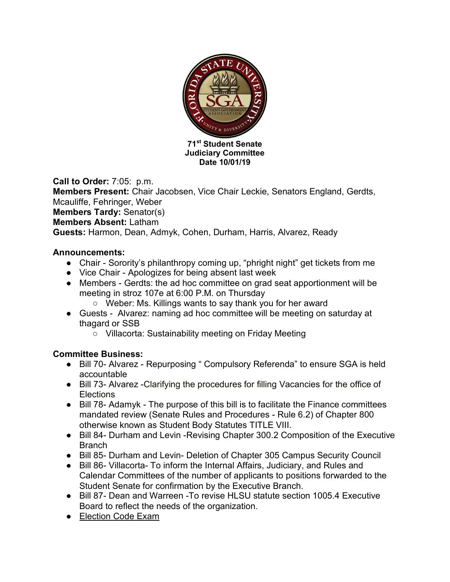

**Call to Order:** 7:05: p.m. **Members Present:** Chair Jacobsen, Vice Chair Leckie, Senators England, Gerdts, Mcauliffe, Fehringer, Weber **Members Tardy:** Senator(s) **Members Absent:** Latham **Guests:** Harmon, Dean, Admyk, Cohen, Durham, Harris, Alvarez, Ready

### **Announcements:**

- Chair Sorority's philanthropy coming up, "phright night" get tickets from me
- Vice Chair Apologizes for being absent last week
- Members Gerdts: the ad hoc committee on grad seat apportionment will be meeting in stroz 107e at 6:00 P.M. on Thursday
	- Weber: Ms. Killings wants to say thank you for her award
- Guests Alvarez: naming ad hoc committee will be meeting on saturday at thagard or SSB
	- Villacorta: Sustainability meeting on Friday Meeting

### **Committee Business:**

- Bill 70- Alvarez Repurposing " Compulsory Referenda" to ensure SGA is held accountable
- Bill 73- Alvarez -Clarifying the procedures for filling Vacancies for the office of **Elections**
- Bill 78- Adamyk The purpose of this bill is to facilitate the Finance committees mandated review (Senate Rules and Procedures - Rule 6.2) of Chapter 800 otherwise known as Student Body Statutes TITLE VIII.
- Bill 84- Durham and Levin Revising Chapter 300.2 Composition of the Executive Branch
- Bill 85- Durham and Levin- Deletion of Chapter 305 Campus Security Council
- Bill 86- Villacorta- To inform the Internal Affairs, Judiciary, and Rules and Calendar Committees of the number of applicants to positions forwarded to the Student Senate for confirmation by the Executive Branch.
- Bill 87- Dean and Warreen -To revise HLSU statute section 1005.4 Executive Board to reflect the needs of the organization.
- Election Code Exam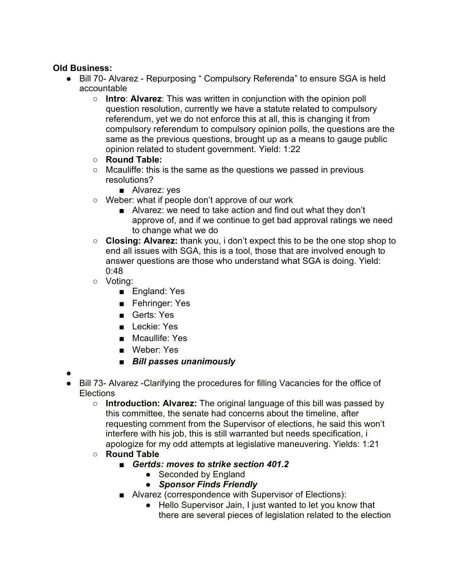# **Old Business:**

- Bill 70- Alvarez Repurposing " Compulsory Referenda" to ensure SGA is held accountable
	- **Intro**: **Alvarez**: This was written in conjunction with the opinion poll question resolution, currently we have a statute related to compulsory referendum, yet we do not enforce this at all, this is changing it from compulsory referendum to compulsory opinion polls, the questions are the same as the previous questions, brought up as a means to gauge public opinion related to student government. Yield: 1:22
	- **Round Table:**
	- Mcauliffe: this is the same as the questions we passed in previous resolutions?
		- Alvarez: yes
	- Weber: what if people don't approve of our work
		- Alvarez: we need to take action and find out what they don't approve of, and if we continue to get bad approval ratings we need to change what we do
	- **Closing: Alvarez:** thank you, i don't expect this to be the one stop shop to end all issues with SGA, this is a tool, those that are involved enough to answer questions are those who understand what SGA is doing. Yield: 0:48
	- Voting:
		- England: Yes
		- Fehringer: Yes
		- Gerts: Yes
		- Leckie: Yes
		- Mcaullife: Yes
		- Weber: Yes
		- *Bill passes unanimously*
- ●
- Bill 73- Alvarez -Clarifying the procedures for filling Vacancies for the office of **Elections** 
	- **Introduction: Alvarez:** The original language of this bill was passed by this committee, the senate had concerns about the timeline, after requesting comment from the Supervisor of elections, he said this won't interfere with his job, this is still warranted but needs specification, i apologize for my odd attempts at legislative maneuvering. Yields: 1:21
	- **Round Table**
		- *Gertds: moves to strike section 401.2* 
			- Seconded by England
			- *Sponsor Finds Friendly*
		- Alvarez (correspondence with Supervisor of Elections):
			- Hello Supervisor Jain, I just wanted to let you know that there are several pieces of legislation related to the election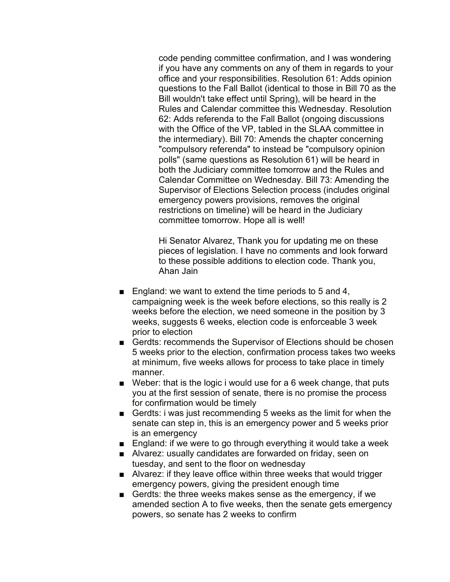code pending committee confirmation, and I was wondering if you have any comments on any of them in regards to your office and your responsibilities. Resolution 61: Adds opinion questions to the Fall Ballot (identical to those in Bill 70 as the Bill wouldn't take effect until Spring), will be heard in the Rules and Calendar committee this Wednesday. Resolution 62: Adds referenda to the Fall Ballot (ongoing discussions with the Office of the VP, tabled in the SLAA committee in the intermediary). Bill 70: Amends the chapter concerning "compulsory referenda" to instead be "compulsory opinion polls" (same questions as Resolution 61) will be heard in both the Judiciary committee tomorrow and the Rules and Calendar Committee on Wednesday. Bill 73: Amending the Supervisor of Elections Selection process (includes original emergency powers provisions, removes the original restrictions on timeline) will be heard in the Judiciary committee tomorrow. Hope all is well!

Hi Senator Alvarez, Thank you for updating me on these pieces of legislation. I have no comments and look forward to these possible additions to election code. Thank you, Ahan Jain

- England: we want to extend the time periods to 5 and 4, campaigning week is the week before elections, so this really is 2 weeks before the election, we need someone in the position by 3 weeks, suggests 6 weeks, election code is enforceable 3 week prior to election
- Gerdts: recommends the Supervisor of Elections should be chosen 5 weeks prior to the election, confirmation process takes two weeks at minimum, five weeks allows for process to take place in timely manner.
- Weber: that is the logic i would use for a 6 week change, that puts you at the first session of senate, there is no promise the process for confirmation would be timely
- Gerdts: i was just recommending 5 weeks as the limit for when the senate can step in, this is an emergency power and 5 weeks prior is an emergency
- England: if we were to go through everything it would take a week
- Alvarez: usually candidates are forwarded on friday, seen on tuesday, and sent to the floor on wednesday
- Alvarez: if they leave office within three weeks that would trigger emergency powers, giving the president enough time
- Gerdts: the three weeks makes sense as the emergency, if we amended section A to five weeks, then the senate gets emergency powers, so senate has 2 weeks to confirm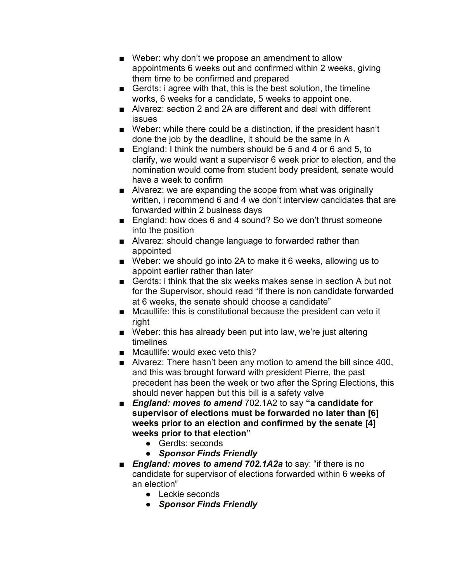- Weber: why don't we propose an amendment to allow appointments 6 weeks out and confirmed within 2 weeks, giving them time to be confirmed and prepared
- Gerdts: i agree with that, this is the best solution, the timeline works, 6 weeks for a candidate, 5 weeks to appoint one.
- Alvarez: section 2 and 2A are different and deal with different issues
- Weber: while there could be a distinction, if the president hasn't done the job by the deadline, it should be the same in A
- England: I think the numbers should be 5 and 4 or 6 and 5, to clarify, we would want a supervisor 6 week prior to election, and the nomination would come from student body president, senate would have a week to confirm
- Alvarez: we are expanding the scope from what was originally written, i recommend 6 and 4 we don't interview candidates that are forwarded within 2 business days
- England: how does 6 and 4 sound? So we don't thrust someone into the position
- Alvarez: should change language to forwarded rather than appointed
- Weber: we should go into 2A to make it 6 weeks, allowing us to appoint earlier rather than later
- Gerdts: i think that the six weeks makes sense in section A but not for the Supervisor, should read "if there is non candidate forwarded at 6 weeks, the senate should choose a candidate"
- Mcaullife: this is constitutional because the president can veto it right
- Weber: this has already been put into law, we're just altering timelines
- Mcaullife: would exec veto this?
- Alvarez: There hasn't been any motion to amend the bill since 400, and this was brought forward with president Pierre, the past precedent has been the week or two after the Spring Elections, this should never happen but this bill is a safety valve
- *England: moves to amend* 702.1A2 to say "a candidate for **supervisor of elections must be forwarded no later than [6] weeks prior to an election and confirmed by the senate [4] weeks prior to that election"**
	- Gerdts: seconds
	- *Sponsor Finds Friendly*
- *England: moves to amend 702.1A2a* to say: "if there is no candidate for supervisor of elections forwarded within 6 weeks of an election"
	- Leckie seconds
	- *Sponsor Finds Friendly*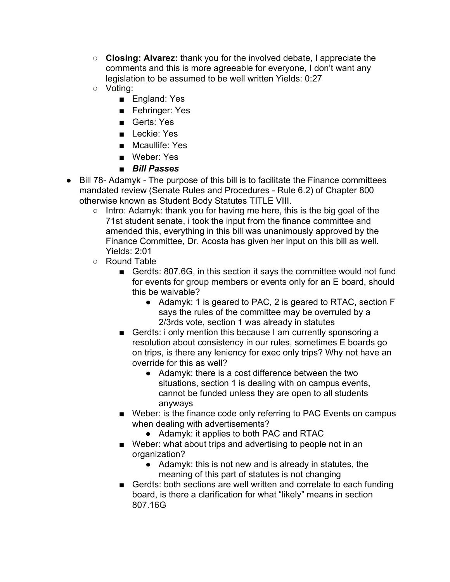- **Closing: Alvarez:** thank you for the involved debate, I appreciate the comments and this is more agreeable for everyone, I don't want any legislation to be assumed to be well written Yields: 0:27
- Voting:
	- England: Yes
	- Fehringer: Yes
	- Gerts: Yes
	- Leckie: Yes
	- Mcaullife: Yes
	- Weber: Yes
	- *Bill Passes*
- Bill 78- Adamyk The purpose of this bill is to facilitate the Finance committees mandated review (Senate Rules and Procedures - Rule 6.2) of Chapter 800 otherwise known as Student Body Statutes TITLE VIII.
	- Intro: Adamyk: thank you for having me here, this is the big goal of the 71st student senate, i took the input from the finance committee and amended this, everything in this bill was unanimously approved by the Finance Committee, Dr. Acosta has given her input on this bill as well. Yields: 2:01
	- Round Table
		- Gerdts: 807.6G, in this section it says the committee would not fund for events for group members or events only for an E board, should this be waivable?
			- Adamyk: 1 is geared to PAC, 2 is geared to RTAC, section F says the rules of the committee may be overruled by a 2/3rds vote, section 1 was already in statutes
		- Gerdts: i only mention this because I am currently sponsoring a resolution about consistency in our rules, sometimes E boards go on trips, is there any leniency for exec only trips? Why not have an override for this as well?
			- Adamyk: there is a cost difference between the two situations, section 1 is dealing with on campus events, cannot be funded unless they are open to all students anyways
		- Weber: is the finance code only referring to PAC Events on campus when dealing with advertisements?
			- Adamyk: it applies to both PAC and RTAC
		- Weber: what about trips and advertising to people not in an organization?
			- Adamyk: this is not new and is already in statutes, the meaning of this part of statutes is not changing
		- Gerdts: both sections are well written and correlate to each funding board, is there a clarification for what "likely" means in section 807.16G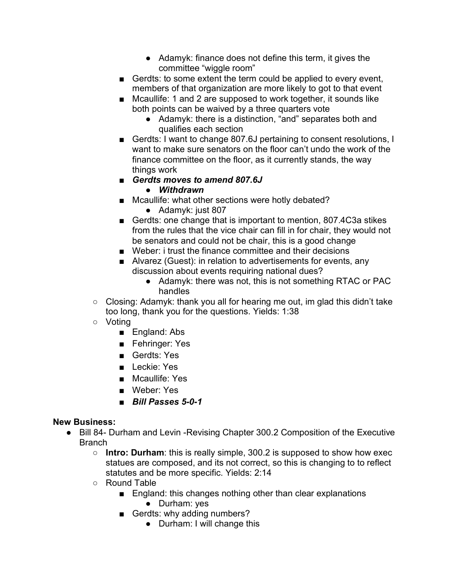- Adamyk: finance does not define this term, it gives the committee "wiggle room"
- Gerdts: to some extent the term could be applied to every event, members of that organization are more likely to got to that event
- Mcaullife: 1 and 2 are supposed to work together, it sounds like both points can be waived by a three quarters vote
	- Adamyk: there is a distinction, "and" separates both and qualifies each section
- Gerdts: I want to change 807.6J pertaining to consent resolutions, I want to make sure senators on the floor can't undo the work of the finance committee on the floor, as it currently stands, the way things work
- *Gerdts moves to amend 807.6J* 
	- *Withdrawn*
- Mcaullife: what other sections were hotly debated?
	- Adamyk: just 807
- Gerdts: one change that is important to mention, 807.4C3a stikes from the rules that the vice chair can fill in for chair, they would not be senators and could not be chair, this is a good change
- Weber: i trust the finance committee and their decisions
- Alvarez (Guest): in relation to advertisements for events, any discussion about events requiring national dues?
	- Adamyk: there was not, this is not something RTAC or PAC handles
- $\circ$  Closing: Adamyk: thank you all for hearing me out, im glad this didn't take too long, thank you for the questions. Yields: 1:38
- Voting
	- England: Abs
	- Fehringer: Yes
	- Gerdts: Yes
	- Leckie: Yes
	- Mcaullife: Yes
	- Weber: Yes
	- *Bill Passes 5-0-1*

# **New Business:**

- Bill 84- Durham and Levin Revising Chapter 300.2 Composition of the Executive Branch
	- **Intro: Durham**: this is really simple, 300.2 is supposed to show how exec statues are composed, and its not correct, so this is changing to to reflect statutes and be more specific. Yields: 2:14
	- Round Table
		- England: this changes nothing other than clear explanations
			- Durham: yes
		- Gerdts: why adding numbers?
			- Durham: I will change this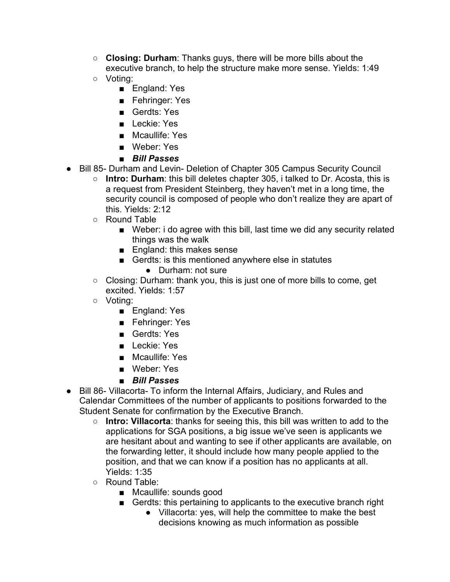- **Closing: Durham**: Thanks guys, there will be more bills about the executive branch, to help the structure make more sense. Yields: 1:49
- Voting:
	- England: Yes
	- Fehringer: Yes
	- Gerdts: Yes
	- Leckie: Yes
	- Mcaullife: Yes
	- Weber: Yes
	- *Bill Passes*
- Bill 85- Durham and Levin- Deletion of Chapter 305 Campus Security Council
	- **Intro: Durham**: this bill deletes chapter 305, i talked to Dr. Acosta, this is a request from President Steinberg, they haven't met in a long time, the security council is composed of people who don't realize they are apart of this. Yields: 2:12
	- Round Table
		- Weber: i do agree with this bill, last time we did any security related things was the walk
		- England: this makes sense
		- Gerdts: is this mentioned anywhere else in statutes
			- Durham: not sure
	- Closing: Durham: thank you, this is just one of more bills to come, get excited. Yields: 1:57
	- Voting:
		- England: Yes
		- Fehringer: Yes
		- Gerdts: Yes
		- Leckie: Yes
		- Mcaullife: Yes
		- Weber: Yes
		- *Bill Passes*
- Bill 86- Villacorta- To inform the Internal Affairs, Judiciary, and Rules and Calendar Committees of the number of applicants to positions forwarded to the Student Senate for confirmation by the Executive Branch.
	- **Intro: Villacorta**: thanks for seeing this, this bill was written to add to the applications for SGA positions, a big issue we've seen is applicants we are hesitant about and wanting to see if other applicants are available, on the forwarding letter, it should include how many people applied to the position, and that we can know if a position has no applicants at all. Yields: 1:35
	- Round Table:
		- Mcaullife: sounds good
		- Gerdts: this pertaining to applicants to the executive branch right
			- Villacorta: yes, will help the committee to make the best decisions knowing as much information as possible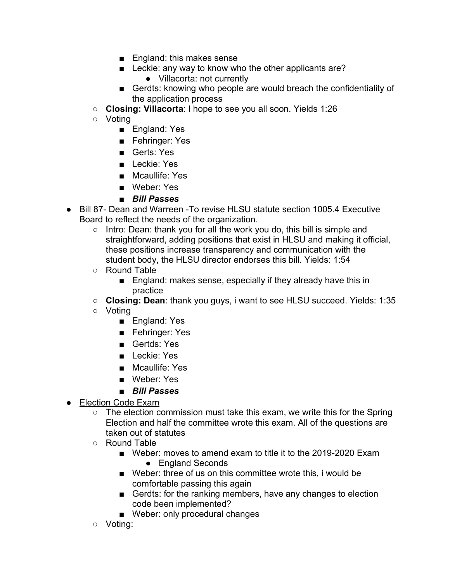- England: this makes sense
- Leckie: any way to know who the other applicants are?
	- Villacorta: not currently
- Gerdts: knowing who people are would breach the confidentiality of the application process
- **Closing: Villacorta**: I hope to see you all soon. Yields 1:26
- Voting
	- England: Yes
	- Fehringer: Yes
	- Gerts: Yes
	- Leckie: Yes
	- Mcaullife: Yes
	- Weber: Yes
	- *Bill Passes*
- Bill 87- Dean and Warreen -To revise HLSU statute section 1005.4 Executive Board to reflect the needs of the organization.
	- Intro: Dean: thank you for all the work you do, this bill is simple and straightforward, adding positions that exist in HLSU and making it official, these positions increase transparency and communication with the student body, the HLSU director endorses this bill. Yields: 1:54
	- Round Table
		- England: makes sense, especially if they already have this in practice
	- **Closing: Dean**: thank you guys, i want to see HLSU succeed. Yields: 1:35
	- Voting
		- England: Yes
		- Fehringer: Yes
		- Gertds: Yes
		- Leckie: Yes
		- Mcaullife: Yes
		- Weber: Yes
		- *Bill Passes*
- Election Code Exam
	- The election commission must take this exam, we write this for the Spring Election and half the committee wrote this exam. All of the questions are taken out of statutes
	- Round Table
		- Weber: moves to amend exam to title it to the 2019-2020 Exam
			- England Seconds
		- Weber: three of us on this committee wrote this, i would be comfortable passing this again
		- Gerdts: for the ranking members, have any changes to election code been implemented?
		- Weber: only procedural changes
	- Voting: